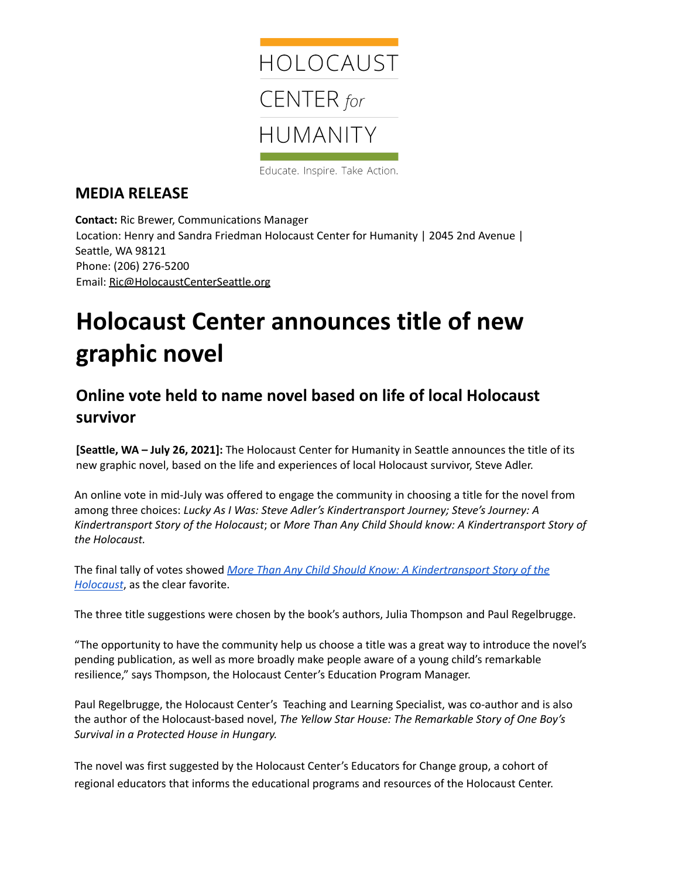

Educate. Inspire. Take Action.

## **MEDIA RELEASE**

**Contact:** Ric Brewer, Communications Manager Location: Henry and Sandra Friedman Holocaust Center for Humanity | 2045 2nd Avenue | Seattle, WA 98121 Phone: (206) 276-5200 Email: [Ric@HolocaustCenterSeattle.org](mailto:Ric@HolocaustCenterSeattle.org)

## **Holocaust Center announces title of new graphic novel**

## **Online vote held to name novel based on life of local Holocaust survivor**

**[Seattle, WA – July 26, 2021]:** The Holocaust Center for Humanity in Seattle announces the title of its new graphic novel, based on the life and experiences of local Holocaust survivor, Steve Adler.

An online vote in mid-July was offered to engage the community in choosing a title for the novel from among three choices: *Lucky As I Was: Steve Adler's Kindertransport Journey; Steve's Journey: A Kindertransport Story of the Holocaust*; or *More Than Any Child Should know: A Kindertransport Story of the Holocaust.*

The final tally of votes showed *More Than Any Child Should Know: A [Kindertransport](https://holocaustcenterseattle.org/learn/graphic-novel-project-steve-adler) Story of the [Holocaust](https://holocaustcenterseattle.org/learn/graphic-novel-project-steve-adler)*, as the clear favorite.

The three title suggestions were chosen by the book's authors, Julia Thompson and Paul Regelbrugge.

"The opportunity to have the community help us choose a title was a great way to introduce the novel's pending publication, as well as more broadly make people aware of a young child's remarkable resilience," says Thompson, the Holocaust Center's Education Program Manager.

Paul Regelbrugge, the Holocaust Center's Teaching and Learning Specialist, was co-author and is also the author of the Holocaust-based novel, *The Yellow Star House: The Remarkable Story of One Boy's Survival in a Protected House in Hungary.*

The novel was first suggested by the Holocaust Center's Educators for Change group, a cohort of regional educators that informs the educational programs and resources of the Holocaust Center.